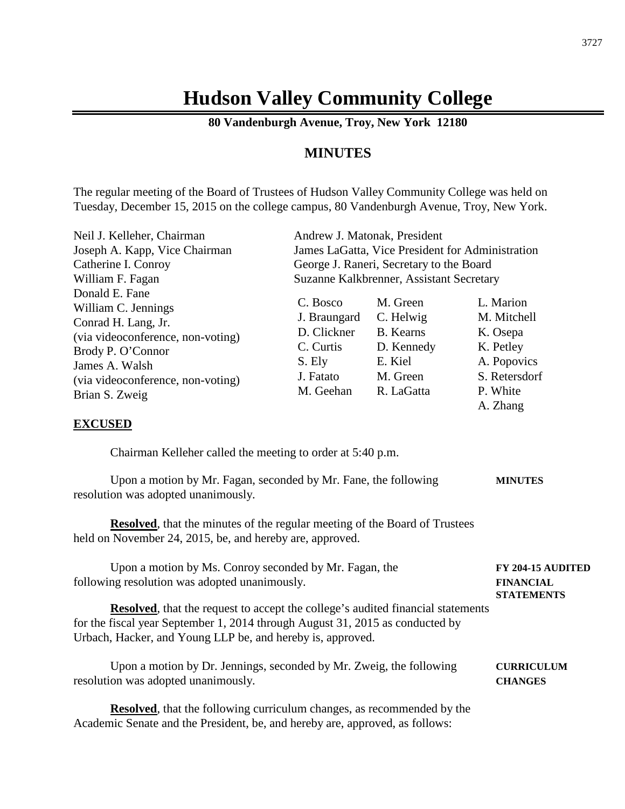# **Hudson Valley Community College**

**80 Vandenburgh Avenue, Troy, New York 12180**

# **MINUTES**

The regular meeting of the Board of Trustees of Hudson Valley Community College was held on Tuesday, December 15, 2015 on the college campus, 80 Vandenburgh Avenue, Troy, New York.

| Neil J. Kelleher, Chairman                                                                                                                                                                                                             | Andrew J. Matonak, President                                                             |                                                                                              |                                                                                                           |  |
|----------------------------------------------------------------------------------------------------------------------------------------------------------------------------------------------------------------------------------------|------------------------------------------------------------------------------------------|----------------------------------------------------------------------------------------------|-----------------------------------------------------------------------------------------------------------|--|
| Joseph A. Kapp, Vice Chairman                                                                                                                                                                                                          | James LaGatta, Vice President for Administration                                         |                                                                                              |                                                                                                           |  |
| Catherine I. Conroy                                                                                                                                                                                                                    |                                                                                          | George J. Raneri, Secretary to the Board                                                     |                                                                                                           |  |
| William F. Fagan                                                                                                                                                                                                                       | Suzanne Kalkbrenner, Assistant Secretary                                                 |                                                                                              |                                                                                                           |  |
| Donald E. Fane<br>William C. Jennings<br>Conrad H. Lang, Jr.<br>(via videoconference, non-voting)<br>Brody P. O'Connor<br>James A. Walsh<br>(via videoconference, non-voting)<br>Brian S. Zweig<br><b>EXCUSED</b>                      | C. Bosco<br>J. Braungard<br>D. Clickner<br>C. Curtis<br>S. Ely<br>J. Fatato<br>M. Geehan | M. Green<br>C. Helwig<br><b>B.</b> Kearns<br>D. Kennedy<br>E. Kiel<br>M. Green<br>R. LaGatta | L. Marion<br>M. Mitchell<br>K. Osepa<br>K. Petley<br>A. Popovics<br>S. Retersdorf<br>P. White<br>A. Zhang |  |
|                                                                                                                                                                                                                                        |                                                                                          |                                                                                              |                                                                                                           |  |
| Chairman Kelleher called the meeting to order at 5:40 p.m.                                                                                                                                                                             |                                                                                          |                                                                                              |                                                                                                           |  |
| Upon a motion by Mr. Fagan, seconded by Mr. Fane, the following<br>resolution was adopted unanimously.                                                                                                                                 |                                                                                          |                                                                                              | <b>MINUTES</b>                                                                                            |  |
| <b>Resolved</b> , that the minutes of the regular meeting of the Board of Trustees<br>held on November 24, 2015, be, and hereby are, approved.                                                                                         |                                                                                          |                                                                                              |                                                                                                           |  |
| Upon a motion by Ms. Conroy seconded by Mr. Fagan, the<br>following resolution was adopted unanimously.                                                                                                                                |                                                                                          |                                                                                              | FY 204-15 AUDITED<br><b>FINANCIAL</b><br><b>STATEMENTS</b>                                                |  |
| <b>Resolved</b> , that the request to accept the college's audited financial statements<br>for the fiscal year September 1, 2014 through August 31, 2015 as conducted by<br>Urbach, Hacker, and Young LLP be, and hereby is, approved. |                                                                                          |                                                                                              |                                                                                                           |  |
| Upon a motion by Dr. Jennings, seconded by Mr. Zweig, the following<br>resolution was adopted unanimously.                                                                                                                             |                                                                                          |                                                                                              | <b>CURRICULUM</b><br><b>CHANGES</b>                                                                       |  |

**Resolved**, that the following curriculum changes, as recommended by the Academic Senate and the President, be, and hereby are, approved, as follows: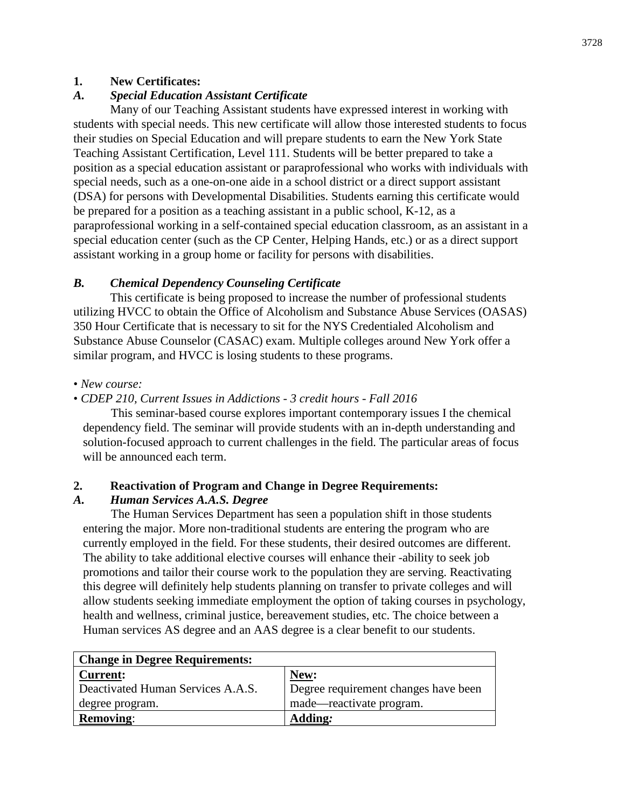#### **1. New Certificates:**

# *A. Special Education Assistant Certificate*

Many of our Teaching Assistant students have expressed interest in working with students with special needs. This new certificate will allow those interested students to focus their studies on Special Education and will prepare students to earn the New York State Teaching Assistant Certification, Level 111. Students will be better prepared to take a position as a special education assistant or paraprofessional who works with individuals with special needs, such as a one-on-one aide in a school district or a direct support assistant (DSA) for persons with Developmental Disabilities. Students earning this certificate would be prepared for a position as a teaching assistant in a public school, K-12, as a paraprofessional working in a self-contained special education classroom, as an assistant in a special education center (such as the CP Center, Helping Hands, etc.) or as a direct support assistant working in a group home or facility for persons with disabilities.

# *B. Chemical Dependency Counseling Certificate*

This certificate is being proposed to increase the number of professional students utilizing HVCC to obtain the Office of Alcoholism and Substance Abuse Services (OASAS) 350 Hour Certificate that is necessary to sit for the NYS Credentialed Alcoholism and Substance Abuse Counselor (CASAC) exam. Multiple colleges around New York offer a similar program, and HVCC is losing students to these programs.

## • *New course:*

## • *CDEP 210, Current Issues in Addictions* - *3 credit hours* - *Fall 2016*

This seminar-based course explores important contemporary issues I the chemical dependency field. The seminar will provide students with an in-depth understanding and solution-focused approach to current challenges in the field. The particular areas of focus will be announced each term.

## **2. Reactivation of Program and Change in Degree Requirements:**

#### *A. Human Services A.A.S. Degree*

The Human Services Department has seen a population shift in those students entering the major. More non-traditional students are entering the program who are currently employed in the field. For these students, their desired outcomes are different. The ability to take additional elective courses will enhance their -ability to seek job promotions and tailor their course work to the population they are serving. Reactivating this degree will definitely help students planning on transfer to private colleges and will allow students seeking immediate employment the option of taking courses in psychology, health and wellness, criminal justice, bereavement studies, etc. The choice between a Human services AS degree and an AAS degree is a clear benefit to our students.

| <b>Change in Degree Requirements:</b> |                                      |  |  |
|---------------------------------------|--------------------------------------|--|--|
| <b>Current:</b>                       | New:                                 |  |  |
| Deactivated Human Services A.A.S.     | Degree requirement changes have been |  |  |
| degree program.                       | made—reactivate program.             |  |  |
| <b>Removing:</b>                      | <b>Adding:</b>                       |  |  |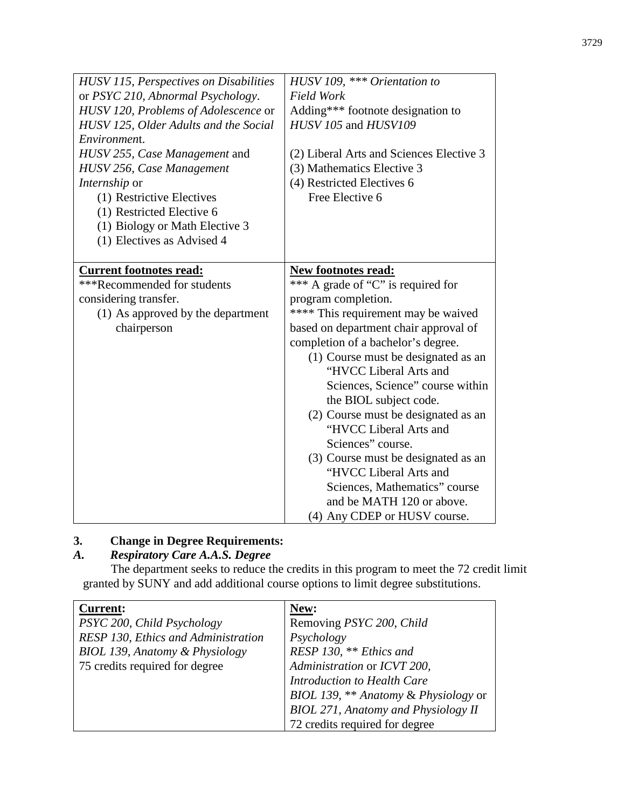| HUSV 115, Perspectives on Disabilities<br>or PSYC 210, Abnormal Psychology.<br>HUSV 120, Problems of Adolescence or<br>HUSV 125, Older Adults and the Social<br>Environment.<br>HUSV 255, Case Management and<br>HUSV 256, Case Management<br><i>Internship</i> or<br>(1) Restrictive Electives<br>(1) Restricted Elective 6<br>(1) Biology or Math Elective 3<br>(1) Electives as Advised 4 | HUSV 109, *** Orientation to<br><b>Field Work</b><br>Adding*** footnote designation to<br>HUSV 105 and HUSV109<br>(2) Liberal Arts and Sciences Elective 3<br>(3) Mathematics Elective 3<br>(4) Restricted Electives 6<br>Free Elective 6                                                                                                                                                                                                                                                                                                                                                         |
|----------------------------------------------------------------------------------------------------------------------------------------------------------------------------------------------------------------------------------------------------------------------------------------------------------------------------------------------------------------------------------------------|---------------------------------------------------------------------------------------------------------------------------------------------------------------------------------------------------------------------------------------------------------------------------------------------------------------------------------------------------------------------------------------------------------------------------------------------------------------------------------------------------------------------------------------------------------------------------------------------------|
| <b>Current footnotes read:</b><br>***Recommended for students<br>considering transfer.<br>(1) As approved by the department<br>chairperson                                                                                                                                                                                                                                                   | <b>New footnotes read:</b><br>*** A grade of "C" is required for<br>program completion.<br>**** This requirement may be waived<br>based on department chair approval of<br>completion of a bachelor's degree.<br>(1) Course must be designated as an<br>"HVCC Liberal Arts and<br>Sciences, Science" course within<br>the BIOL subject code.<br>(2) Course must be designated as an<br>"HVCC Liberal Arts and<br>Sciences" course.<br>(3) Course must be designated as an<br>"HVCC Liberal Arts and<br>Sciences, Mathematics" course<br>and be MATH 120 or above.<br>(4) Any CDEP or HUSV course. |

# **3. Change in Degree Requirements:**

# *A. Respiratory Care A.A.S. Degree*

The department seeks to reduce the credits in this program to meet the 72 credit limit granted by SUNY and add additional course options to limit degree substitutions.

| <b>Current:</b>                           | New:                                       |
|-------------------------------------------|--------------------------------------------|
| PSYC 200, Child Psychology                | Removing PSYC 200, Child                   |
| RESP 130, Ethics and Administration       | Psychology                                 |
| <b>BIOL 139, Anatomy &amp; Physiology</b> | RESP 130, ** Ethics and                    |
| 75 credits required for degree            | Administration or ICVT 200,                |
|                                           | Introduction to Health Care                |
|                                           | BIOL 139, ** Anatomy & Physiology or       |
|                                           | <b>BIOL 271, Anatomy and Physiology II</b> |
|                                           | 72 credits required for degree             |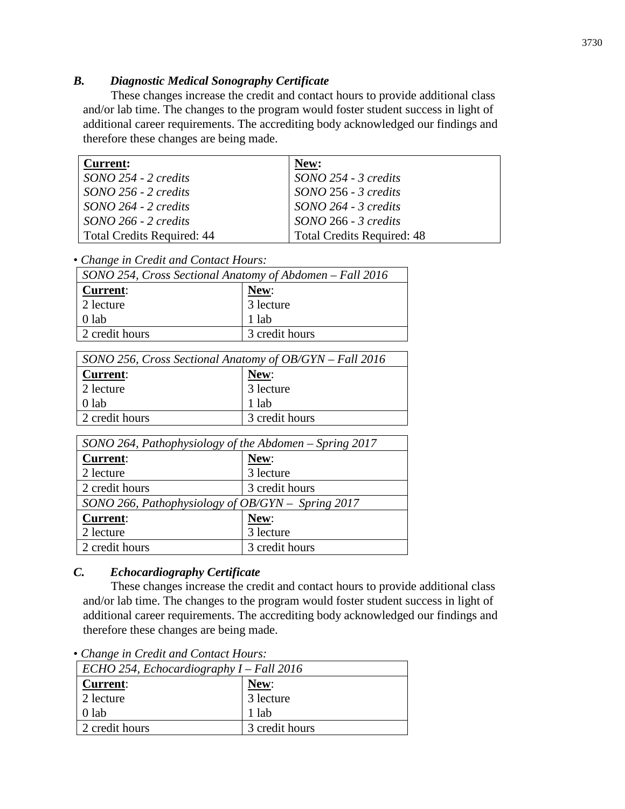#### *B. Diagnostic Medical Sonography Certificate*

These changes increase the credit and contact hours to provide additional class and/or lab time. The changes to the program would foster student success in light of additional career requirements. The accrediting body acknowledged our findings and therefore these changes are being made.

| <b>Current:</b>                   | New:                              |
|-----------------------------------|-----------------------------------|
| $SONO$ 254 - 2 credits            | SONO 254 - 3 credits              |
| $SONO$ 256 - 2 credits            | $SONO$ 256 - 3 credits            |
| $SONO 264 - 2 credits$            | SONO 264 - 3 credits              |
| $SONO$ 266 - 2 credits            | SONO 266 - 3 credits              |
| <b>Total Credits Required: 44</b> | <b>Total Credits Required: 48</b> |

• *Change in Credit and Contact Hours:*

| SONO 254, Cross Sectional Anatomy of Abdomen – Fall 2016 |                        |  |  |
|----------------------------------------------------------|------------------------|--|--|
| <b>Current:</b>                                          | New:                   |  |  |
| 2 lecture                                                | $\overline{3}$ lecture |  |  |
| $0$ lab                                                  | 1 lab                  |  |  |
| 2 credit hours                                           | 3 credit hours         |  |  |

| SONO 256, Cross Sectional Anatomy of OB/GYN – Fall 2016 |                |  |  |
|---------------------------------------------------------|----------------|--|--|
| <b>Current:</b>                                         | New:           |  |  |
| 2 lecture                                               | 3 lecture      |  |  |
| $0$ lab                                                 | 1 lab          |  |  |
| 2 credit hours                                          | 3 credit hours |  |  |

| SONO 264, Pathophysiology of the Abdomen – Spring 2017 |                |  |  |
|--------------------------------------------------------|----------------|--|--|
| <b>Current:</b>                                        | New:           |  |  |
| 2 lecture                                              | 3 lecture      |  |  |
| 2 credit hours                                         | 3 credit hours |  |  |
| SONO 266, Pathophysiology of OB/GYN - Spring 2017      |                |  |  |
| <b>Current:</b>                                        | New:           |  |  |
| 2 lecture                                              | 3 lecture      |  |  |
| 2 credit hours                                         | 3 credit hours |  |  |

## *C. Echocardiography Certificate*

These changes increase the credit and contact hours to provide additional class and/or lab time. The changes to the program would foster student success in light of additional career requirements. The accrediting body acknowledged our findings and therefore these changes are being made.

• *Change in Credit and Contact Hours:*

| $\text{ECHO } 254$ , Echocardiography I – Fall 2016 |                |  |  |
|-----------------------------------------------------|----------------|--|--|
| <b>Current:</b>                                     | New:           |  |  |
| 2 lecture                                           | 3 lecture      |  |  |
| $0$ lab                                             | 1 lab          |  |  |
| 2 credit hours                                      | 3 credit hours |  |  |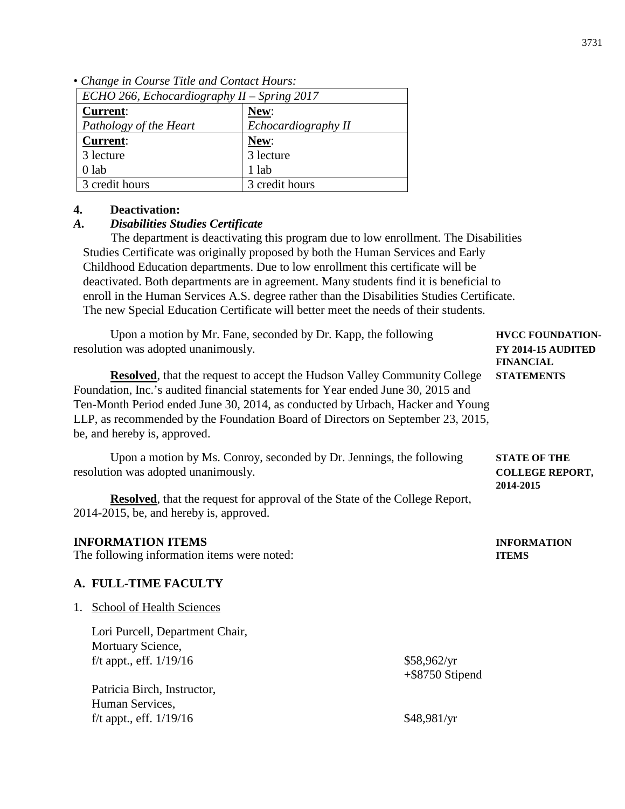*Pathology of the Heart Echocardiography II* **Current**: 3 lecture 0 lab **New**: 3 lecture 1 lab 3 credit hours 3 credit hours **4. Deactivation:** *A. Disabilities Studies Certificate* The department is deactivating this program due to low enrollment. The Disabilities Studies Certificate was originally proposed by both the Human Services and Early Childhood Education departments. Due to low enrollment this certificate will be deactivated. Both departments are in agreement. Many students find it is beneficial to enroll in the Human Services A.S. degree rather than the Disabilities Studies Certificate. The new Special Education Certificate will better meet the needs of their students. Upon a motion by Mr. Fane, seconded by Dr. Kapp, the following **HVCC FOUNDATION**resolution was adopted unanimously. **FY 2014-15 AUDITED FINANCIAL Resolved**, that the request to accept the Hudson Valley Community College **STATEMENTS** Foundation, Inc.'s audited financial statements for Year ended June 30, 2015 and Ten-Month Period ended June 30, 2014, as conducted by Urbach, Hacker and Young LLP, as recommended by the Foundation Board of Directors on September 23, 2015, be, and hereby is, approved. Upon a motion by Ms. Conroy, seconded by Dr. Jennings, the following **STATE OF THE** resolution was adopted unanimously. **COLLEGE REPORT, 2014-2015 Resolved**, that the request for approval of the State of the College Report, 2014-2015, be, and hereby is, approved. **INFORMATION ITEMS INFORMATION** The following information items were noted: **ITEMS A. FULL-TIME FACULTY** 1. School of Health Sciences Lori Purcell, Department Chair, Mortuary Science, f/t appt., eff.  $1/19/16$  \$58,962/yr +\$8750 Stipend Patricia Birch, Instructor, Human Services, f/t appt., eff.  $1/19/16$  \$48,981/yr

|  |  |  |  |  | • Change in Course Title and Contact Hours: |  |
|--|--|--|--|--|---------------------------------------------|--|
|--|--|--|--|--|---------------------------------------------|--|

**Current**:

*ECHO 266, Echocardiography II* – *Spring 2017*

**New**: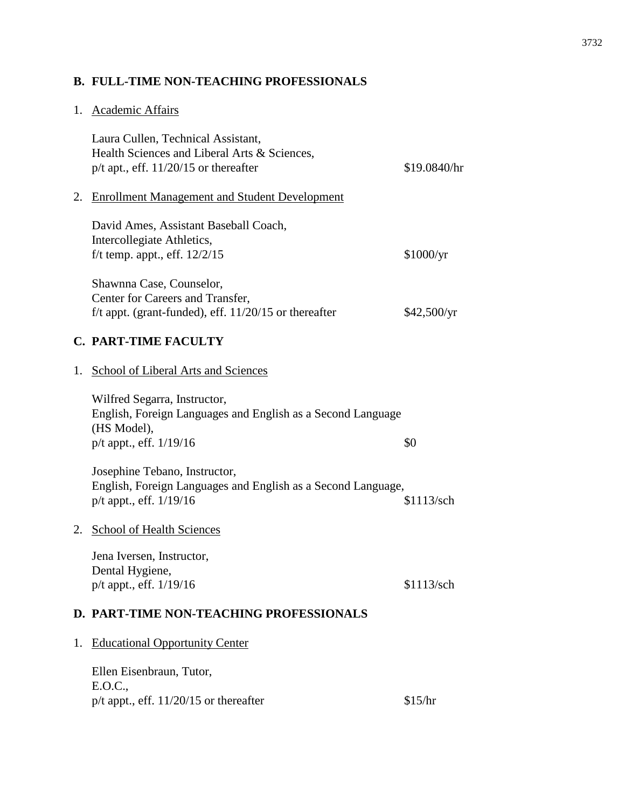# **B. FULL-TIME NON-TEACHING PROFESSIONALS**

# 1. Academic Affairs

|    | Laura Cullen, Technical Assistant,<br>Health Sciences and Liberal Arts & Sciences,<br>$p/t$ apt., eff. 11/20/15 or thereafter             | \$19.0840/hr |
|----|-------------------------------------------------------------------------------------------------------------------------------------------|--------------|
| 2. | <b>Enrollment Management and Student Development</b>                                                                                      |              |
|    | David Ames, Assistant Baseball Coach,<br>Intercollegiate Athletics,<br>f/t temp. appt., eff. $12/2/15$                                    | \$1000/yr    |
|    | Shawnna Case, Counselor,<br>Center for Careers and Transfer,<br>f/t appt. (grant-funded), eff. $11/20/15$ or thereafter                   | \$42,500/yr  |
|    | <b>C. PART-TIME FACULTY</b>                                                                                                               |              |
| 1. | School of Liberal Arts and Sciences                                                                                                       |              |
|    | Wilfred Segarra, Instructor,<br>English, Foreign Languages and English as a Second Language<br>(HS Model),<br>$p/t$ appt., eff. $1/19/16$ | \$0          |
|    | Josephine Tebano, Instructor,<br>English, Foreign Languages and English as a Second Language,<br>p/t appt., eff. 1/19/16                  | \$1113/sch   |
|    | 2. School of Health Sciences                                                                                                              |              |
|    | Jena Iversen, Instructor,<br>Dental Hygiene,<br>$p/t$ appt., eff. $1/19/16$                                                               | \$1113/sch   |
|    | <b>D. PART-TIME NON-TEACHING PROFESSIONALS</b>                                                                                            |              |
| 1. | <b>Educational Opportunity Center</b>                                                                                                     |              |
|    | Ellen Eisenbraun, Tutor,<br>E.O.C.,<br>p/t appt., eff. $11/20/15$ or thereafter                                                           | \$15/hr      |